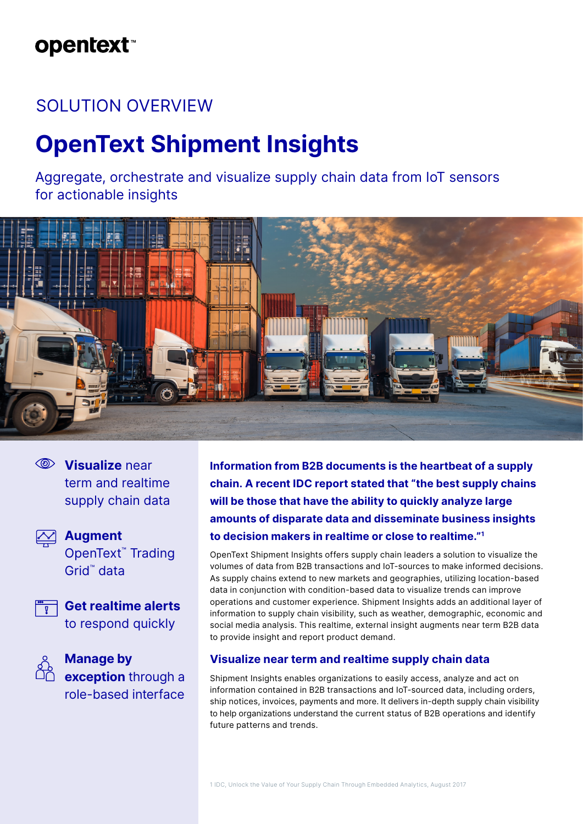## **opentext**™

## SOLUTION OVERVIEW

# **OpenText Shipment Insights**

Aggregate, orchestrate and visualize supply chain data from IoT sensors for actionable insights



**Visualize** near term and realtime supply chain data



**Augment**  OpenText™ Trading Grid™ data



**Get realtime alerts** to respond quickly



**Manage by exception** through a role-based interface **Information from B2B documents is the heartbeat of a supply chain. A recent IDC report stated that "the best supply chains will be those that have the ability to quickly analyze large amounts of disparate data and disseminate business insights to decision makers in realtime or close to realtime."1**

OpenText Shipment Insights offers supply chain leaders a solution to visualize the volumes of data from B2B transactions and IoT-sources to make informed decisions. As supply chains extend to new markets and geographies, utilizing location-based data in conjunction with condition-based data to visualize trends can improve operations and customer experience. Shipment Insights adds an additional layer of information to supply chain visibility, such as weather, demographic, economic and social media analysis. This realtime, external insight augments near term B2B data to provide insight and report product demand.

### **Visualize near term and realtime supply chain data**

Shipment Insights enables organizations to easily access, analyze and act on information contained in B2B transactions and IoT-sourced data, including orders, ship notices, invoices, payments and more. It delivers in-depth supply chain visibility to help organizations understand the current status of B2B operations and identify future patterns and trends.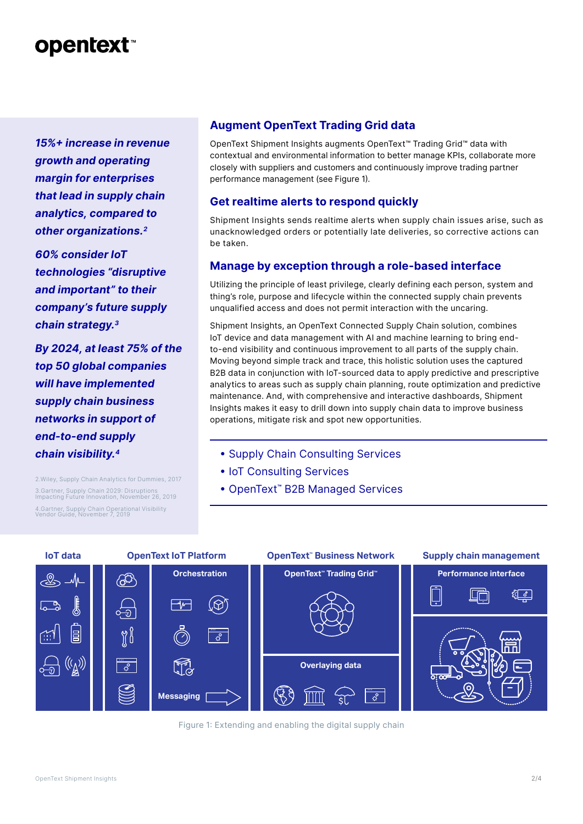## **opentext™**

*15%+ increase in revenue growth and operating margin for enterprises that lead in supply chain analytics, compared to other organizations.2*

*60% consider IoT technologies "disruptive and important" to their company's future supply chain strategy.3*

*By 2024, at least 75% of the top 50 global companies will have implemented supply chain business networks in support of end-to-end supply chain visibility.4*

2.Wiley, Supply Chain Analytics for Dummies, 2017 3.Gartner, Supply Chain 2029: Disruptions Impacting Future Innovation, November 26, 2019 4.Gartner, Supply Chain Operational Visibility Vendor Guide, November 7, 2019

### **Augment OpenText Trading Grid data**

OpenText Shipment Insights augments OpenText™ Trading Grid™ data with contextual and environmental information to better manage KPIs, collaborate more closely with suppliers and customers and continuously improve trading partner performance management (see Figure 1).

### **Get realtime alerts to respond quickly**

Shipment Insights sends realtime alerts when supply chain issues arise, such as unacknowledged orders or potentially late deliveries, so corrective actions can be taken.

## **Manage by exception through a role-based interface**

Utilizing the principle of least privilege, clearly defining each person, system and thing's role, purpose and lifecycle within the connected supply chain prevents unqualified access and does not permit interaction with the uncaring.

Shipment Insights, an OpenText Connected Supply Chain solution, combines IoT device and data management with AI and machine learning to bring endto-end visibility and continuous improvement to all parts of the supply chain. Moving beyond simple track and trace, this holistic solution uses the captured B2B data in conjunction with IoT-sourced data to apply predictive and prescriptive analytics to areas such as supply chain planning, route optimization and predictive maintenance. And, with comprehensive and interactive dashboards, Shipment Insights makes it easy to drill down into supply chain data to improve business operations, mitigate risk and spot new opportunities.

- Supply Chain Consulting Services
- IoT Consulting Services
- OpenText**™** B2B Managed Services



**Collect, orchestrate, message Extend B2B data** Figure 1: Extending and enabling the digital supply chain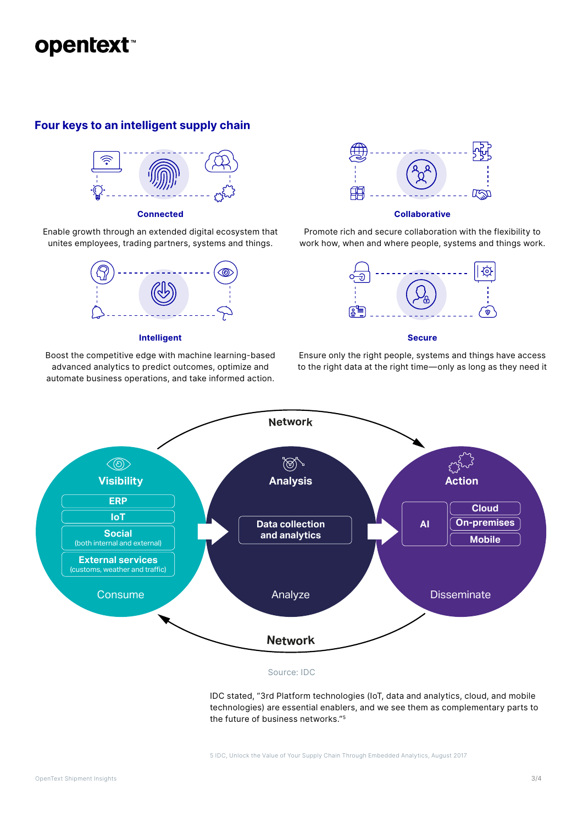

### **Four keys to an intelligent supply chain**



#### **Connected**

Enable growth through an extended digital ecosystem that unites employees, trading partners, systems and things.



#### **Intelligent**

Boost the competitive edge with machine learning-based advanced analytics to predict outcomes, optimize and automate business operations, and take informed action.



#### **Collaborative**

Promote rich and secure collaboration with the flexibility to work how, when and where people, systems and things work.



#### **Secure**

Ensure only the right people, systems and things have access to the right data at the right time—only as long as they need it



#### Source: IDC

IDC stated, "3rd Platform technologies (IoT, data and analytics, cloud, and mobile technologies) are essential enablers, and we see them as complementary parts to the future of business networks."5

5 IDC, Unlock the Value of Your Supply Chain Through Embedded Analytics, August 2017